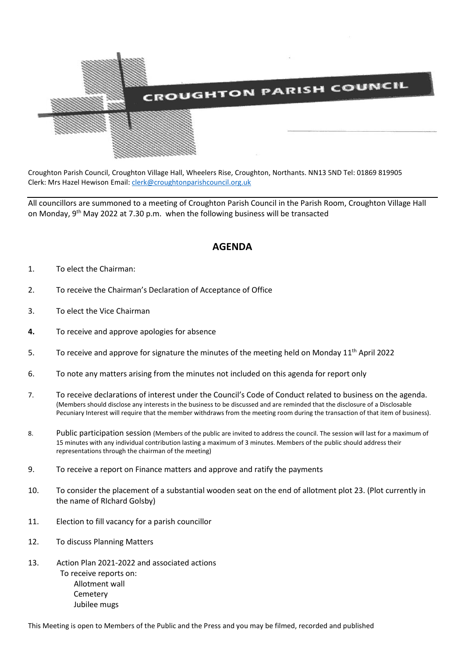

Croughton Parish Council, Croughton Village Hall, Wheelers Rise, Croughton, Northants. NN13 5ND Tel: 01869 819905 Clerk: Mrs Hazel Hewison Email: [clerk@croughtonparishcouncil.org.uk](mailto:clerk@croughtonparishcouncil.org.uk)

All councillors are summoned to a meeting of Croughton Parish Council in the Parish Room, Croughton Village Hall on Monday, 9<sup>th</sup> May 2022 at 7.30 p.m. when the following business will be transacted

## **AGENDA**

- 1. To elect the Chairman:
- 2. To receive the Chairman's Declaration of Acceptance of Office
- 3. To elect the Vice Chairman
- **4.** To receive and approve apologies for absence
- 5. To receive and approve for signature the minutes of the meeting held on Monday 11<sup>th</sup> April 2022
- 6. To note any matters arising from the minutes not included on this agenda for report only
- 7. To receive declarations of interest under the Council's Code of Conduct related to business on the agenda. (Members should disclose any interests in the business to be discussed and are reminded that the disclosure of a Disclosable Pecuniary Interest will require that the member withdraws from the meeting room during the transaction of that item of business).
- 8. Public participation session (Members of the public are invited to address the council. The session will last for a maximum of 15 minutes with any individual contribution lasting a maximum of 3 minutes. Members of the public should address their representations through the chairman of the meeting)
- 9. To receive a report on Finance matters and approve and ratify the payments
- 10. To consider the placement of a substantial wooden seat on the end of allotment plot 23. (Plot currently in the name of RIchard Golsby)
- 11. Election to fill vacancy for a parish councillor
- 12. To discuss Planning Matters
- 13. Action Plan 2021-2022 and associated actions To receive reports on: Allotment wall Cemetery Jubilee mugs

This Meeting is open to Members of the Public and the Press and you may be filmed, recorded and published